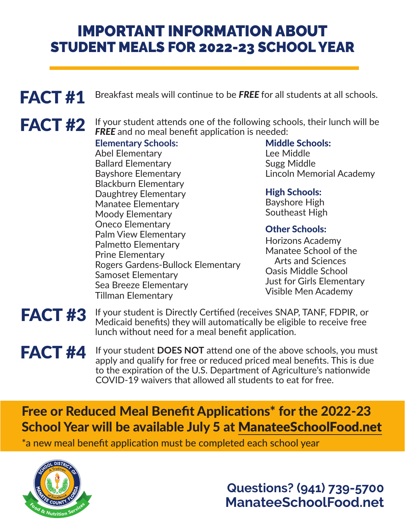# IMPORTANT INFORMATION ABOUT STUDENT MEALS FOR 2022-23 SCHOOL YEAR

FACT #1 Breakfast meals will continue to be FREE for all students at all schools.

FACT #2 If your student attends one of the following schools, their lunch will be **FREE** and no meal benefit application is needed:

# **Elementary Schools:**

Abel Elementary Ballard Elementary Bayshore Elementary Blackburn Elementary Daughtrey Elementary Manatee Elementary Moody Elementary Oneco Elementary Palm View Elementary Palmetto Elementary Prine Elementary Rogers Gardens-Bullock Elementary Samoset Elementary Sea Breeze Elementary Tillman Elementary

# Middle Schools:

Lee Middle Sugg Middle Lincoln Memorial Academy

# High Schools:

Bayshore High Southeast High

# Other Schools:

Horizons Academy Manatee School of the Arts and Sciences Oasis Middle School Just for Girls Elementary Visible Men Academy

### FACT #3 If your student is Directly Certified (receives SNAP, TANF, FDPIR, or Medicaid benefits) they will automatically be eligible to receive free lunch without need for a meal benefit application.

### If your student **DOES NOT** attend one of the above schools, you must apply and qualify for free or reduced priced meal benefits. This is due to the expiration of the U.S. Department of Agriculture's nationwide COVID-19 waivers that allowed all students to eat for free. FACT #4

# Free or Reduced Meal Benefit Applications\* for the 2022-23 School Year will be available July 5 at ManateeSchoolFood.net

\*a new meal benefit application must be completed each school year



**Questions? (941) 739-5700 ManateeSchoolFood.net**